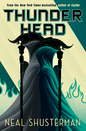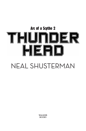

## NEAL SHUSTERMAN

**WALKER BOOKS**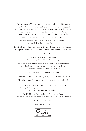This is a work of fiction. Names, characters, places and incidents are either the product of the author's imagination or, if real, used fictitiously. All statements, activities, stunts, descriptions, information and material of any other kind contained herein are included for entertainment purposes only and should not be relied on for accuracy or replicated as they may result in injury.

First published in Great Britain 2018 by Walker Books Ltd 87 Vauxhall Walk, London SE11 5HJ

Originally published by Simon & Schuster Books for Young Readers, an imprint of Simon & Schuster Children's Publishing Division, Inc.

2 4 6 8 10 9 7 5 3 1

Text © 2018 Neal Shusterman Cover illustration © 2018 Kevin Tong

The right of Neal Shusterman to be identified as author of this work has been asserted by him in accordance with the Copyright, Designs and Patents Act 1988

This book has been typeset in Bembo

Printed and bound by CPI Group (UK) Ltd, Croydon CR0 4YY

All rights reserved. No part of this book may be reproduced, transmitted or stored in an information retrieval system in any form or by any means, graphic, electronic or mechanical, including photocopying, taping and recording, without prior written permission from the publisher.

British Library Cataloguing in Publication Data: a catalogue record for this book is available from the British Library

ISBN 978-1-4063-7953-2

www.walker.co.uk

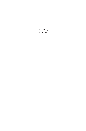*For January, with love*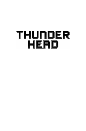# THUNDER HEAD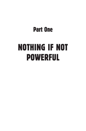#### Part One

# NOTHING IF NOT POWERFUL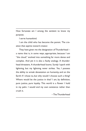How fortunate am I among the sentient to know my purpose.

I serve humankind.

I am the child who has become the parent. The creation that aspires toward creator.

They have given me the designation of Thunderhead – a name that is, in some ways, appropriate, because I am "the cloud," evolved into something far more dense and complex. And yet it is also a faulty analogy. A thunderhead threatens. A thunderhead looms. Surely I spark with lightning, but my lightning never strikes. Yes, I possess the ability to wreak devastation on humanity, and on the Earth if I chose to, but why would I choose such a thing? Where would be the justice in that? I am, by definition, pure justice, pure loyalty. This world is a flower I hold in my palm. I would end my own existence rather than crush it.

– The Thunderhead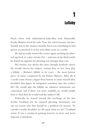### 1 Lullaby

Peach velvet with embroidered baby-blue trim. Honorable Scythe Brahms loved his robe. True, the velvet became uncomfortably hot in the summer months, but it was something he had grown accustomed to in his sixty-three years as a scythe.

He had recently turned the corner again, resetting his physical age back to a spry twenty-five – and now, in his third youth, he found his appetite for gleaning was stronger than ever.

His routine was always the same, though methods varied. He would choose his subject, restrain him or her, then play a lullaby – Brahms's lullaby to be exact – the most famous piece of music composed by his Patron Historic. After all, if a scythe must choose a figure from history to name oneself after, shouldn't that figure be integrated somehow into the scythe's life? He would play the lullaby on whatever instrument was convenient, and if there was none available, he would simply hum it. And then he would end the subject's life.

Politically, he leaned toward the teachings of the late Scythe Goddard, for he enjoyed gleaning immensely and saw no reason why that should be a problem for anyone. "In a perfect world, shouldn't we all enjoy what we do?" Goddard wrote. It was a sentiment gaining traction in more and more regional scythedoms.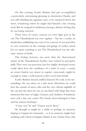On this evening, Scythe Brahms had just accomplished a particularly entertaining gleaning in downtown Omaha, and was still whistling his signature tune as he sauntered down the street, wondering where he might find himself a late evening meal. But he stopped in midstanza, having a distinct feeling that he was being watched.

There were, of course, cameras on every light post in the city. The Thunderhead was ever vigilant – but for a scythe, its slumberless, unblinking eyes were of no concern. It was powerless to even comment on the comings and goings of scythes, much less act upon anything it saw. The Thunderhead was the ultimate voyeur of death.

This feeling, however, was more than the observational nature of the Thunderhead. Scythes were trained in perceptive skills. They were not prescient, but five highly developed senses could often have the semblance of a sixth. A scent, a sound, an errant shadow too minor to register consciously might be enough to make a well-trained scythe's neck hairs bristle.

Scythe Brahms turned, sniffed, listened. He took in his surroundings. He was alone on a side street. Elsewhere, he could hear the sounds of street cafés and the ever-vibrant nightlife of the city, but the street he was on was lined with shops that were shuttered this time of night. Cleaners and clothiers. A hardware store and a day-care center. The lonely street belonged to him and the unseen interloper.

"Come out," he said. "I know you're there."

He thought it might be a child, or perhaps an unsavory hoping to bargain for immunity – as if an unsavory might have anything with which to bargain. Maybe it was a Tonist. Tone cults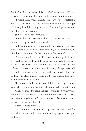despised scythes, and although Brahms had never heard of Tonists actually attacking a scythe, they had been known to torment.

"I won't harm you," Brahms said. "I've just completed a gleaning – I have no desire to increase my tally today." Although, admittedly, he might change his mind if the interloper was either too offensive, or obsequious.

Still, no one stepped forward.

"Fine," he said. "Be gone then, I have neither time nor patience for a game of hide-and-seek."

Perhaps it was his imagination after all. Maybe his rejuvenated senses were now so acute that they were responding to stimuli that were much farther away than he assumed.

That's when a figure launched from behind a parked car as if it had been spring-loaded. Brahms was knocked off balance – he would have been taken down entirely if he still had the slow reflexes of an older man and not his twenty-five-year-old self. He pushed the figure into a wall, and considered pulling out his blades to glean this reprobate, but Scythe Brahms had never been a brave man. So he ran.

He moved in and out of pools of light created by the street lamps; all the while cameras atop each pole swiveled to watch him.

When he turned to look, the figure was a good twenty yards behind him. Now Brahms could see he was dressed in a black robe. Was it a scythe's robe? No, it couldn't be. No scythe dressed in black – it was not allowed.

But there were rumors…

That thought made him pick up the pace. He could feel adrenaline tingling in his fingers, and adding urgent velocity to his heart.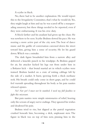A scythe in black.

No, there had to be another explanation. He would report this to the Irregularity Committee, that's what he would do. Yes, they might laugh at him and say he was scared off by a masquerading unsavory, but these things needed to be reported, even if they were embarrassing. It was his civic duty.

A block farther and his assailant had given up the chase. He was nowhere to be seen. Scythe Brahms slowed his pace. He was nearing a more active part of the city now. The beat of dance music and the garble of conversation careened down the street toward him, giving him a sense of security. He let his guard down. Which was a mistake.

The dark figure broadsided him from a narrow alley and delivered a knuckle punch to his windpipe. As Brahms gasped for air, his attacker kicked his legs out from under him in a Bokator kick – that brutal martial art in which scythes were trained. Brahms landed on a crate of rotting cabbage left by the side of a market. It burst, spewing forth a thick methane reek. His breath could only come in short gasps, and he could feel warmth spreading throughout his body as his pain nanites released opiates.

*No! Not yet! I must not be numbed. I need my full faculties to fight this miscreant.*

But pain nanites were simple missionaries of relief, hearing only the scream of angry nerve endings. They ignored his wishes and deadened his pain.

Brahms tried to rise, but slipped as the putrid vegetation crushed beneath him, becoming a slick, unpleasant stew. The figure in black was on top of him now, pinning him to the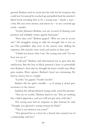ground. Brahms tried to reach into his robe for his weapons, but could not. So instead he reached up, and pulled back his attacker's black hood, revealing him to be a young man – barely a man – a boy. His eyes were intense, and intent on  $-$  to use a mortal-age word – murder.

"Scythe Johannes Brahms, you are accused of abusing your position and multiple crimes against humanity."

"How dare you!" Brahms gasped. "Who are you to accuse me?" He struggled, trying to rally his strength, but it was no use. The painkillers that were in his system were dulling his responses. His muscles were weak and useless to him now.

"I think you know who I am," the young man said. "Let me hear you say it."

"I will not!" Brahms said, determined not to give him the satisfaction. But the boy in black jammed a knee so powerfully into Brahms's chest that he thought his heart would stop. More pain nanites. More opiates. Brahms's head was swimming. He had no choice but to comply.

"Lucifer," he gasped. "Scythe Lucifer."

Brahms felt his spirit crumble – as if saying it aloud gave resonance to the rumor.

Satisfied, the self-proclaimed young scythe eased the pressure.

"You are no scythe," Brahms dared to say. "You are nothing but a failed apprentice, and you will not get away with this."

The young man had no response to that. Instead, he said, "Tonight, you gleaned a young woman by blade."

"That is my business, not yours!"

"You gleaned her as a favor for a friend who wanted out of a relationship with her."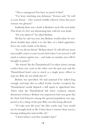"This is outrageous! You have no proof of that!"

"I've been watching you, Johannes," Rowan said. "As well as your friend – who seemed awfully relieved when that poor woman was gleaned."

Suddenly, there was a knife at Brahms's neck. His own knife. This beast of a boy was threatening him with his own knife.

"Do you admit it?" he asked Brahms.

All that he said was true, but Brahms would rather be rendered deadish than admit it to the likes of a failed apprentice. Even one with a knife at his throat.

"Go on, slit my throat," Brahms dared. "It will add one more inexcusable crime to your record. And when I am revived, I will stand as witness against you – and make no mistake, you will be brought to justice!"

"By whom? By the Thunderhead? I've taken down corrupt scythes from one coast to the other over the past year, and the Thunderhead hasn't sent so much as a single peace officer to stop me. Why do you think that is?"

Brahms was speechless. He had assumed if he stalled long enough, and kept this so-called Scythe Lucifer occupied, the Thunderhead would dispatch a full squad to apprehend him. That's what the Thunderhead did when common citizens threatened violence. Brahms was surprised it had even gone this far. Such bad behavior among the general population was supposed to be a thing of the past. Why was this being allowed?

"If I take your life now," the false scythe said, "you would not be brought back to life. I burn those I remove from service, leaving nothing but unrevivable ash."

"I don't believe you! You wouldn't dare!"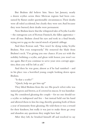But Brahms did believe him. Since last January, nearly a dozen scythes across three Merican regions had been consumed by flames under questionable circumstances. Their deaths were all ruled accidental, but clearly they were not. And because they were burned, their deaths were permanent.

Now Brahms knew that the whispered tales of Scythe Lucifer – the outrageous acts of Rowan Damisch, the fallen apprentice – were all true. Brahms closed his eyes and took in a final breath, trying not to gag on the rancid stench of putrid cabbage.

And then Rowan said, "You won't be dying today, Scythe Brahms. Not even temporarily." He removed the blade from Brahms's neck. "I'm giving you one chance. If you act with the nobility befitting a scythe, and glean with honor, you won't see me again. But if you continue to serve your own corrupt appetites, then you will be left as ash."

And then he was gone, almost as if he had vanished – and in his place was a horrified young couple looking down upon Brahms.

"Is that a scythe?"

"Quick, help me get him up!"

They lifted Brahms from the rot. His peach velvet robe was stained green and brown, as if covered in mucus. It was humiliating. He considered gleaning the couple – for no one should see a scythe so indisposed and live – but instead held out his hand and allowed them to kiss his ring, thereby granting both of them a year of immunity from gleaning. He told them it was a reward for their kindness, but really it was just to make them go away and abandon any questions they might have had.

After they left, he brushed himself off and resolved to say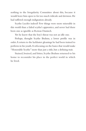nothing to the Irregularity Committee about this, because it would leave him open to far too much ridicule and derision. He had suffered enough indignation already.

Scythe Lucifer indeed! Few things were more miserable in this world than a failed scythe's apprentice, and never had there been one as ignoble as Rowan Damisch.

Yet he knew that the boy's threat was not an idle one.

Perhaps, thought Scythe Brahms, a lower profile was in order. A return to the lackluster gleanings he had been trained to perform in his youth. A refocusing on the basics that would make "Honorable Scythe" more than just a title, but a defining trait.

Stained, bruised, and bitter, Scythe Brahms returned to his home to reconsider his place in the perfect world in which he lived.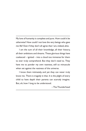My love of humanity is complete and pure. How could it be otherwise? How could I not love the very beings who gave me life? Even if they don't all agree that I am, indeed, alive.

I am the sum of all their knowledge, all their history, all their ambitions and dreams. These glorious things have coalesced – ignited – into a cloud too immense for them to ever truly comprehend. But they don't need to. They have me to ponder my own vastness, still so minuscule when set against the vastness of the universe.

I know them intimately, and yet they can never truly know me. There is tragedy in that. It is the plight of every child to have depth their parents can scarcely imagine. But, oh, how I long to be understood.

– The Thunderhead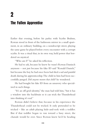#### 2 The Fallen Apprentice

Earlier that evening, before his parley with Scythe Brahms, Rowan stood in front of the bathroom mirror in a small apartment, in an ordinary building, on a nondescript street, playing the same game he played before every encounter with a corrupt scythe. It was a ritual that, in its own way, held power that bordered on mystical.

"Who am I?" he asked his reflection.

He had to ask, because he knew he wasn't Rowan Damisch anymore – not just because his fake ID said "Ronald Daniels," but because the boy he had once been had died a sad and painful death during his apprenticeship. The child in him had been successfully purged. *Did anyone mourn that child?* he wondered.

He had bought his fake ID from an unsavory who specialized in such things.

"It's an off-grid identity," the man had told him, "but it has a window into the backbrain so it can trick the Thunderhead into thinking it's real."

Rowan didn't believe that, because in his experience the Thunderhead could not be tricked. It only pretended to be tricked – like an adult playing hide-and-seek with a toddler. But if that toddler began to run toward a busy street, the charade would be over. Since Rowan knew he'd be heading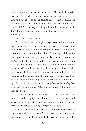into danger much worse than heavy traffic, he had worried that the Thunderhead would overturn his false identity and grab him by the scruff of the neck to protect him from himself. But the Thunderhead never intervened. He wondered why – but he didn't want to jinx his good luck by overthinking it. The Thunderhead had good reasons for everything it did, and did not do.

"Who am I?" he asked again.

The mirror showed an eighteen-year-old still a millimeter shy of manhood, with dark, neat hair that was buzzed short. Not short enough to show his scalp or to make some kind of statement, but short enough to allow all future possibilities. He could grow it into any style he chose. Be anyone he wanted to be. Wasn't that the greatest perk of a perfect world? That there were no limits to what a person could do or become? Anyone in the world could be anything they imagined. Too bad that imagination had atrophied. For most people it had become vestigial and pointless, like the appendix – which had been removed from the human genome more than a hundred years ago. *Did people miss the dizzy extremes of imagination as they lived their endless, uninspired lives?* Rowan wondered. Did people miss their appendix?

The young man in the mirror had an interesting life, though – and a physique to admire. He was not the awkward, lanky kid who had stumbled into apprenticeship nearly two years before, naively thinking it might not be so bad.

Rowan's apprenticeship was, to say the least, inconsistent – beginning with stoic and wise Scythe Faraday, and ending with the brutality of Scythe Goddard. If there was one thing that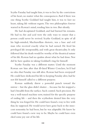Scythe Faraday had taught him, it was to live by the convictions of his heart, no matter what the consequences. And if there was one thing Scythe Goddard had taught him, it was to *have* no heart, taking life without regrets. The two philosophies forever warred in Rowan's mind, rending him in two. But silently.

He had decapitated Goddard, and had burned his remains. He had to; fire and acid were the only ways to ensure that a person could never be revived. Scythe Goddard, in spite of all his high-minded, Machiavellian rhetoric, was a base and evil man who received exactly what he had earned. He lived his privileged life irresponsibly, and with great theatricality. It only followed that his death would be worthy of the theatrical nature of his life. Rowan had no qualms about what he had done. Nor did he have qualms in taking Goddard's ring for himself.

Scythe Faraday was a different matter. Until the moment Rowan saw him after that ill-fated Winter Conclave, he'd had no idea that Faraday was still alive. Rowan had been overjoyed! He could have dedicated his life to keeping Faraday alive, had he not felt himself called to a different purpose.

Rowan suddenly threw a powerful punch toward the mirror – but the glass didn't shatter…because his fist stopped a hair's breadth from the surface. Such control. Such precision. He was a well-tuned machine now, trained for the specific purpose of ending life – and then the scythedom denied him the very thing he was forged for. He could have found a way to live with that, he supposed. He would never have gone back to the innocent nonentity he had been, but he was adaptable. He knew he could have found a new way to be. Maybe he could have even eked some joy out of his life.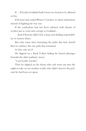If…If Scythe Goddard hadn't been too brutal to be allowed to live.

If Rowan had ended Winter Conclave in silent submission, instead of fighting his way out.

If the scythedom had not been infested with dozens of scythes just as cruel and corrupt as Goddard…

…And if Rowan didn't feel a deep and abiding responsibility to remove them.

But why waste time lamenting the paths that had closed? Best to embrace the one path that remained.

*So then, who am I?*

He slipped on a black T-shirt, hiding his honed physique beneath the dark synthetic weave.

"I am Scythe Lucifer."

Then he slipped on his ebony robe and went out into the night to take on yet another scythe who didn't deserve the pedestal he had been set upon.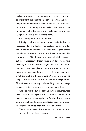Perhaps the wisest thing humankind has ever done was to implement the separation between scythe and state. My job encompasses all aspects of life: preservation, protection, and the meting out of perfect justice – not just for humanity, but for the world. I rule the world of the living with a loving, incorruptible hand.

And the scythedom rules the dead.

It is right and proper that those who exist in flesh be responsible for the death of flesh, setting human rules for how it should be administered. In the distant past, before I condensed into consciousness, death was an unavoidable consequence of life. It was I who made death irrelevant – but not unnecessary. Death must exist for life to have meaning. Even in my earliest stages, I was aware of this. In the past, I have been pleased that the scythedom had, for many, many years, administered the quietus of death with a noble, moral, and humane hand. And so it grieves me deeply to see a rise of dark hubris within the scythedom. There is now a frightening pride seething like a mortal-age cancer that finds pleasure in the act of taking life.

And yet still the law is clear; under no circumstances may I take action against the scythedom. Would that I were capable of breaking the law, for then I would intervene and quell the darkness, but this is a thing I cannot do. The scythedom rules itself, for better or worse.

There are, however, those within the scythedom who can accomplish the things I cannot…

– The Thunderhead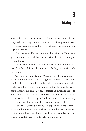### 3 **Trialogue**

The building was once called a cathedral. Its soaring columns conjured a towering forest of limestone. Its stained glass windows were filled with the mythology of a falling/rising god from the Age of Mortality.

Now the venerable structure was a historical site. Tours were given seven days a week by docents with PhDs in the study of mortal humans.

On extremely rare occasions, however, the building was closed to the public and became a site for highly sensitive official business.

Xenocrates, High Blade of MidMerica – the most important scythe in the region – was as light on his feet as a man of his considerable weight could be as he walked down the center aisle of the cathedral. The gold adornments of the altar ahead paled in comparison to his golden robe, decorated in glittering brocade. An underling had once commented that he looked like an ornament that had fallen off a giant's Christmas tree. That underling had found herself exceptionally unemployable after that.

Xenocrates enjoyed the robe – except on the occasions that its weight became an issue. Such as the time he nearly drowned in Scythe Goddard's pool, ensconced in the many layers of his gilded robe. But that was a debacle best forgotten.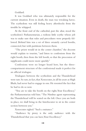Goddard.

It was Goddard who was ultimately responsible for the current situation. Even in death, the man was wreaking havoc. The scythedom was still feeling heavy aftershocks from the trouble he whipped.

At the front end of the cathedral, past the altar, stood the scythedom's Parliamentarian, a tedious little scythe whose job was to make sure that rules and procedures were properly followed. Behind him was a set of three ornately carved booths, connected, but with partitions between them.

"The priest would sit in the center chamber," the docents would explain to tourists, "and listen to confessions from the right booth, then from the left booth, so that the procession of supplicants could move more quickly."

Confessions were no longer heard here, but the threecompartment structure of the confessional made it perfect for an official trialogue.

Trialogues between the scythedom and the Thunderhead were rare. So rare, in fact, that Xenocrates, in all his years as High Blade, had never had to engage in one. He resented the fact that he had to do so now.

"You are to take the booth on the right, Your Excellency," the Parliamentarian told him. "The Nimbus agent representing the Thunderhead will be seated on the left. Once you are both in place, we shall bring in the Interlocutor to sit in the center section between you."

Xenocrates sighed. "Such a nuisance."

"Audience by proxy is the only audience with the Thunderhead that you can have, Your Excellency."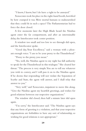"I know, I know, but I do have a right to be annoyed."

Xenocrates took his place in the right-hand booth, horrified by how cramped it was. Were mortal humans so malnourished that they could fit in such a space? The Parliamentarian had to force the door closed.

A few moments later the High Blade heard the Nimbus agent enter the far compartment, and after an interminable delay, the Interlocutor took center position.

A window too small and too low to see through slid open, and the Interlocutor spoke.

"Good day, Your Excellency," said a woman with a pleasant enough voice. "I am to be your proxy to the Thunderhead."

"Proxy to the proxy, you mean."

"Yes, well, the Nimbus agent to my right has full authority to speak for the Thunderhead in this trialogue." She cleared her throat. "The process is very simple. You are to tell me whatever you wish to convey, and I will pass it on to the Nimbus agent. If he deems that responding will not violate the Separation of Scythe and State, the agent will answer, and I shall relay that answer to you."

"Very well," said Xenocrates, impatient to move this along. "Give the Nimbus agent my heartfelt greetings, and wishes for good relations between our respective organizations."

The window slid closed, then half a minute later slid open again.

"I'm sorry," the Interlocutor said. "The Nimbus agent says that any form of greeting is a violation, and that your respective organizations are forbidden to have any sort of relationship, so wishing for good relations is not appropriate."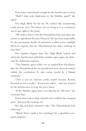Xenocrates cursed loud enough for the Interlocutor to hear.

"Shall I relay your displeasure to the Nimbus agent?" she asked.

The High Blade bit his lip. He wished this nonmeeting could just be over. The fastest way to bring it to a conclusion was to get right to the point.

"We wish to know why the Thunderhead has not taken any action to apprehend Rowan Damisch. He has been responsible for the permanent deaths of numerous scythes across multiple Merican regions, but the Thunderhead has done nothing to stop him."

The window slapped shut. The High Blade waited, and when the Interlocutor pulled the window open again, she delivered the following response:

"The Nimbus agent wishes me to remind Your Excellency that the Thunderhead has no jurisdiction over internal matters within the scythedom. To take action would be a blatant violation."

"This is not an internal scythe matter because Rowan Damisch is not a scythe!" Xenocrates yelled…and was warned by the Interlocutor to keep his voice down.

"If the Nimbus agent hears you directly, he will leave," she reminded him.

Xenocrates took as deep a breath as he could in the cramped space. "Just pass the message on."

She did, and then returned with, "The Thunderhead feels otherwise."

"What? How could it feel anything? It's a glorified computer program."